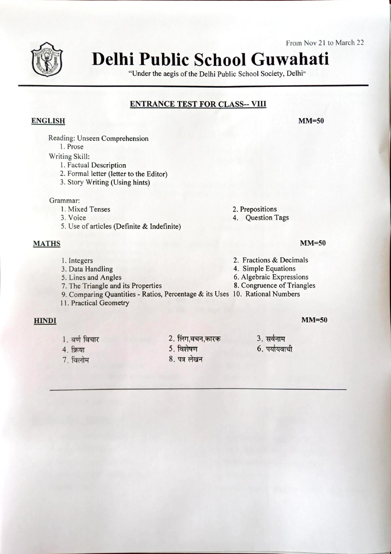From Nov 21 to March 22



# Delhi Public School Guwahati

"Under the aegis of the Delhi Public School Society, Delhi"

### ENTRANCE TEST FOR CLASS-- vill

#### ENGLISH

Reading: Unseen Comprehension

l. Prose

- Writing Skill:
	- I. Factual Description
	- 2. Formal letter (letter to the Editor)
	- 3. Story Writing (Using hints)

Grammar:

- l. Mixed Tenses
- 3. Voice
- 5. Use of articles (Definite & Indefinite)

#### MATHS

- 1. Integers
- 3. Data Handling
- 5. Lines and Angles
- 7. The Triangle and its Properties
- 9. Comparing Quantities Ratios, Percentage & its Uses 10. Rational Numbers
- 11. Practical Geometry

#### **HINDI**

- 1. वर्ण विचार
- **4. क्रिया**
- 7. विलोम
- 2. लिंग,वचन,कारक
- 5. विशेषण
- 8. पत्र लेखन
- 2. Prepositions
- 4. Question Tags

## MM=50

MM=50

- 2. Fractions & Decimals
- 4. Simple Equations
- 6. Algebraic Expressions
- 8. Congruence of Triangles
- - 3. 6. पर्यायवाची

MM=50